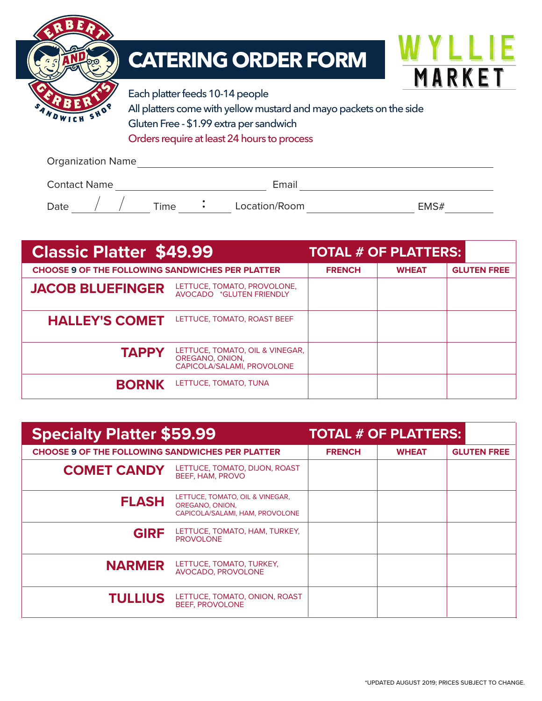

## **CATERING ORDER FORM**



Each platter feeds 10-14 people All platters come with yellow mustard and mayo packets on the side Gluten Free - \$1.99 extra per sandwich Orders require at least 24 hours to process

Organization Name

| <b>Contact Name</b> |  |  |         | Email         |      |
|---------------------|--|--|---------|---------------|------|
| Date                |  |  | $T$ ime | Location/Room | EMS# |

| <b>Classic Platter \$49.99</b>                          |                                                                                  | <b>TOTAL # OF PLATTERS:</b> |              |                    |  |
|---------------------------------------------------------|----------------------------------------------------------------------------------|-----------------------------|--------------|--------------------|--|
| <b>CHOOSE 9 OF THE FOLLOWING SANDWICHES PER PLATTER</b> |                                                                                  | <b>FRENCH</b>               | <b>WHEAT</b> | <b>GLUTEN FREE</b> |  |
| <b>JACOB BLUEFINGER</b>                                 | LETTUCE, TOMATO, PROVOLONE,<br>AVOCADO *GLUTEN FRIENDLY                          |                             |              |                    |  |
| <b>HALLEY'S COMET</b>                                   | LETTUCE, TOMATO, ROAST BEEF                                                      |                             |              |                    |  |
| <b>TAPPY</b>                                            | LETTUCE, TOMATO, OIL & VINEGAR,<br>OREGANO, ONION,<br>CAPICOLA/SALAMI, PROVOLONE |                             |              |                    |  |
| <b>BORNK</b>                                            | LETTUCE, TOMATO, TUNA                                                            |                             |              |                    |  |

| <b>Specialty Platter \$59.99</b>                        | <b>TOTAL # OF PLATTERS:</b>                                                           |               |              |                    |
|---------------------------------------------------------|---------------------------------------------------------------------------------------|---------------|--------------|--------------------|
| <b>CHOOSE 9 OF THE FOLLOWING SANDWICHES PER PLATTER</b> |                                                                                       | <b>FRENCH</b> | <b>WHEAT</b> | <b>GLUTEN FREE</b> |
| <b>COMET CANDY</b>                                      | LETTUCE, TOMATO, DIJON, ROAST<br>BEEF, HAM, PROVO                                     |               |              |                    |
| <b>FLASH</b>                                            | LETTUCE, TOMATO, OIL & VINEGAR,<br>OREGANO, ONION,<br>CAPICOLA/SALAMI, HAM, PROVOLONE |               |              |                    |
| <b>GIRF</b>                                             | LETTUCE, TOMATO, HAM, TURKEY,<br><b>PROVOLONE</b>                                     |               |              |                    |
| <b>NARMER</b>                                           | LETTUCE, TOMATO, TURKEY,<br>AVOCADO, PROVOLONE                                        |               |              |                    |
| <b>TULLIUS</b>                                          | LETTUCE, TOMATO, ONION, ROAST<br><b>BEEF, PROVOLONE</b>                               |               |              |                    |